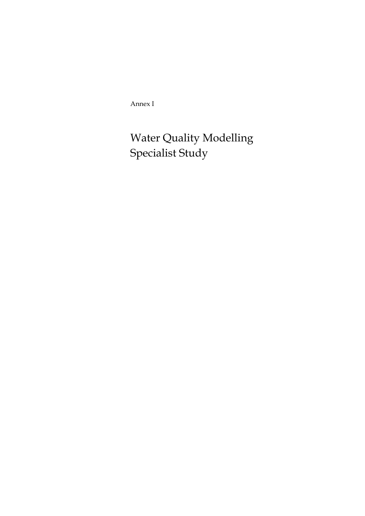Annex I

Water Quality Modelling Specialist Study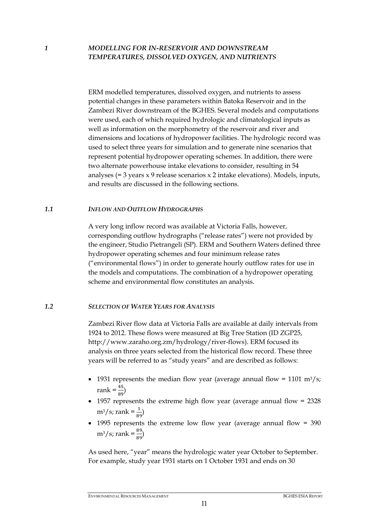### *1 MODELLING FOR IN-RESERVOIR AND DOWNSTREAM TEMPERATURES, DISSOLVED OXYGEN, AND NUTRIENTS*

ERM modelled temperatures, dissolved oxygen, and nutrients to assess potential changes in these parameters within Batoka Reservoir and in the Zambezi River downstream of the BGHES. Several models and computations were used, each of which required hydrologic and climatological inputs as well as information on the morphometry of the reservoir and river and dimensions and locations of hydropower facilities. The hydrologic record was used to select three years for simulation and to generate nine scenarios that represent potential hydropower operating schemes. In addition, there were two alternate powerhouse intake elevations to consider, resulting in 54 analyses (= 3 years x 9 release scenarios x 2 intake elevations). Models, inputs, and results are discussed in the following sections.

#### *1.1 INFLOW AND OUTFLOW HYDROGRAPHS*

A very long inflow record was available at Victoria Falls, however, corresponding outflow hydrographs ("release rates") were not provided by the engineer, Studio Pietrangeli (SP). ERM and Southern Waters defined three hydropower operating schemes and four minimum release rates ("environmental flows") in order to generate hourly outflow rates for use in the models and computations. The combination of a hydropower operating scheme and environmental flow constitutes an analysis.

#### *1.2 SELECTION OF WATER YEARS FOR ANALYSIS*

Zambezi River flow data at Victoria Falls are available at daily intervals from 1924 to 2012. These flows were measured at Big Tree Station (ID ZGP25, http://www.zaraho.org.zm/hydrology/river-flows). ERM focused its analysis on three years selected from the historical flow record. These three years will be referred to as "study years" and are described as follows:

- 1931 represents the median flow year (average annual flow = 1101 m<sup>3</sup>/s;  $rank = \frac{45}{89}$
- 1957 represents the extreme high flow year (average annual flow = 2328  $m^3/s$ ; rank =  $\frac{1}{89}$ )
- 1995 represents the extreme low flow year (average annual flow = 390  $m^3/s$ ; rank =  $\frac{89}{89}$ )

As used here, "year" means the hydrologic water year October to September. For example, study year 1931 starts on 1 October 1931 and ends on 30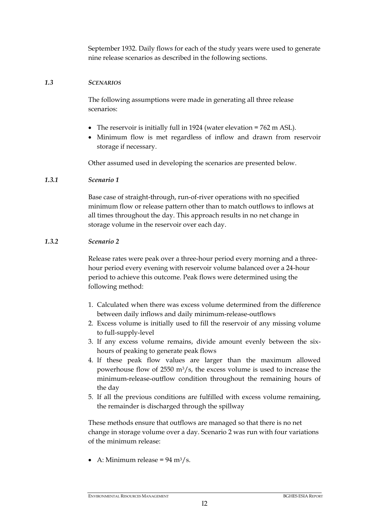September 1932. Daily flows for each of the study years were used to generate nine release scenarios as described in the following sections.

#### *1.3 SCENARIOS*

The following assumptions were made in generating all three release scenarios:

- The reservoir is initially full in 1924 (water elevation = 762 m ASL).
- Minimum flow is met regardless of inflow and drawn from reservoir storage if necessary.

Other assumed used in developing the scenarios are presented below.

### *1.3.1 Scenario 1*

Base case of straight-through, run-of-river operations with no specified minimum flow or release pattern other than to match outflows to inflows at all times throughout the day. This approach results in no net change in storage volume in the reservoir over each day.

### *1.3.2 Scenario 2*

Release rates were peak over a three-hour period every morning and a threehour period every evening with reservoir volume balanced over a 24-hour period to achieve this outcome. Peak flows were determined using the following method:

- 1. Calculated when there was excess volume determined from the difference between daily inflows and daily minimum-release-outflows
- 2. Excess volume is initially used to fill the reservoir of any missing volume to full-supply-level
- 3. If any excess volume remains, divide amount evenly between the sixhours of peaking to generate peak flows
- 4. If these peak flow values are larger than the maximum allowed powerhouse flow of 2550  $\text{m}^3/\text{s}$ , the excess volume is used to increase the minimum-release-outflow condition throughout the remaining hours of the day
- 5. If all the previous conditions are fulfilled with excess volume remaining, the remainder is discharged through the spillway

These methods ensure that outflows are managed so that there is no net change in storage volume over a day. Scenario 2 was run with four variations of the minimum release:

• A: Minimum release =  $94 \text{ m}^3/\text{s}$ .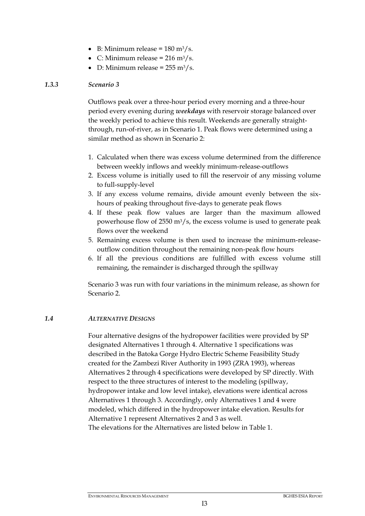- $\bullet$  B: Minimum release = 180 m<sup>3</sup>/s.
- C: Minimum release =  $216 \text{ m}^3/\text{s}$ .
- D: Minimum release =  $255 \text{ m}^3/\text{s}$ .

### *1.3.3 Scenario 3*

Outflows peak over a three-hour period every morning and a three-hour period every evening during *weekdays* with reservoir storage balanced over the weekly period to achieve this result. Weekends are generally straightthrough, run-of-river, as in Scenario 1. Peak flows were determined using a similar method as shown in Scenario 2:

- 1. Calculated when there was excess volume determined from the difference between weekly inflows and weekly minimum-release-outflows
- 2. Excess volume is initially used to fill the reservoir of any missing volume to full-supply-level
- 3. If any excess volume remains, divide amount evenly between the sixhours of peaking throughout five-days to generate peak flows
- 4. If these peak flow values are larger than the maximum allowed powerhouse flow of 2550 m3/s, the excess volume is used to generate peak flows over the weekend
- 5. Remaining excess volume is then used to increase the minimum-releaseoutflow condition throughout the remaining non-peak flow hours
- 6. If all the previous conditions are fulfilled with excess volume still remaining, the remainder is discharged through the spillway

<span id="page-3-0"></span>Scenario 3 was run with four variations in the minimum release, as shown for Scenario 2.

#### *1.4 ALTERNATIVE DESIGNS*

Four alternative designs of the hydropower facilities were provided by SP designated Alternatives 1 through 4. Alternative 1 specifications was described in the Batoka Gorge Hydro Electric Scheme Feasibility Study created for the Zambezi River Authority in 1993 (ZRA 1993), whereas Alternatives 2 through 4 specifications were developed by SP directly. With respect to the three structures of interest to the modeling (spillway, hydropower intake and low level intake), elevations were identical across Alternatives 1 through 3. Accordingly, only Alternatives 1 and 4 were modeled, which differed in the hydropower intake elevation. Results for Alternative 1 represent Alternatives 2 and 3 as well.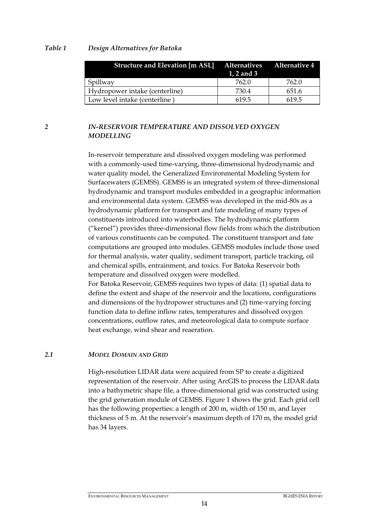#### <span id="page-4-0"></span>*Table 1 Design Alternatives for Batoka*

| Structure and Elevation [m ASL] Alternatives Alternative 4 | 1, 2 and 3 |       |
|------------------------------------------------------------|------------|-------|
| Spillway                                                   | 762.0      | 762.0 |
| Hydropower intake (centerline)                             | 730.4      | 651.6 |
| Low level intake (centerline)                              | 619.5      | 619.5 |

# *2 IN-RESERVOIR TEMPERATURE AND DISSOLVED OXYGEN MODELLING*

In-reservoir temperature and dissolved oxygen modeling was performed with a commonly-used time-varying, three-dimensional hydrodynamic and water quality model, the Generalized Environmental Modeling System for Surfacewaters (GEMSS). GEMSS is an integrated system of three-dimensional hydrodynamic and transport modules embedded in a geographic information and environmental data system. GEMSS was developed in the mid-80s as a hydrodynamic platform for transport and fate modeling of many types of constituents introduced into waterbodies. The hydrodynamic platform ("kernel") provides three-dimensional flow fields from which the distribution of various constituents can be computed. The constituent transport and fate computations are grouped into modules. GEMSS modules include those used for thermal analysis, water quality, sediment transport, particle tracking, oil and chemical spills, entrainment, and toxics. For Batoka Reservoir both temperature and dissolved oxygen were modelled.

For Batoka Reservoir, GEMSS requires two types of data: (1) spatial data to define the extent and shape of the reservoir and the locations, configurations and dimensions of the hydropower structures and (2) time-varying forcing function data to define inflow rates, temperatures and dissolved oxygen concentrations, outflow rates, and meteorological data to compute surface heat exchange, wind shear and reaeration.

#### *2.1 MODEL DOMAIN AND GRID*

High-resolution LIDAR data were acquired from SP to create a digitized representation of the reservoir. After using ArcGIS to process the LIDAR data into a bathymetric shape file, a three-dimensional grid was constructed using the grid generation module of GEMSS. [Figure 1](#page-5-0) shows the grid. Each grid cell has the following properties: a length of 200 m, width of 150 m, and layer thickness of 5 m. At the reservoir's maximum depth of 170 m, the model grid has 34 layers.

#### ENVIRONMENTAL RESOURCES MANAGEMENT BGHES ESIA REPORT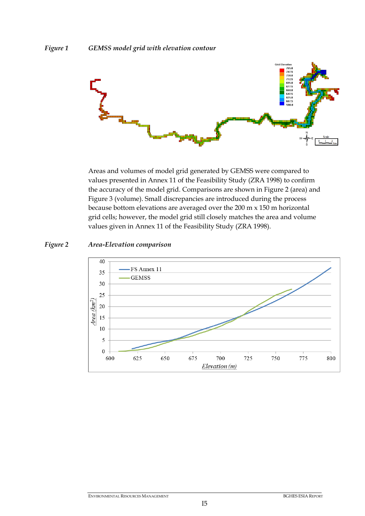<span id="page-5-0"></span>

Areas and volumes of model grid generated by GEMSS were compared to values presented in Annex 11 of the Feasibility Study (ZRA 1998) to confirm the accuracy of the model grid. Comparisons are shown in [Figure 2](#page-5-1) (area) and [Figure 3](#page-6-0) (volume). Small discrepancies are introduced during the process because bottom elevations are averaged over the 200 m x 150 m horizontal grid cells; however, the model grid still closely matches the area and volume values given in Annex 11 of the Feasibility Study (ZRA 1998).

#### <span id="page-5-1"></span>*Figure 2 Area-Elevation comparison*

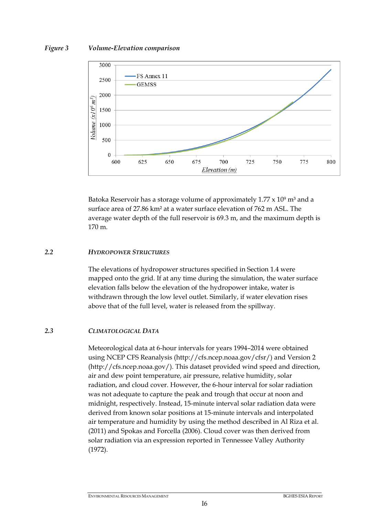#### <span id="page-6-0"></span>*Figure 3 Volume-Elevation comparison*



Batoka Reservoir has a storage volume of approximately  $1.77 \times 10^9$  m<sup>3</sup> and a surface area of 27.86 km² at a water surface elevation of 762 m ASL. The average water depth of the full reservoir is 69.3 m, and the maximum depth is 170 m.

# *2.2 HYDROPOWER STRUCTURES*

The elevations of hydropower structures specified in Section [1.4](#page-3-0) were mapped onto the grid. If at any time during the simulation, the water surface elevation falls below the elevation of the hydropower intake, water is withdrawn through the low level outlet. Similarly, if water elevation rises above that of the full level, water is released from the spillway.

# *2.3 CLIMATOLOGICAL DATA*

Meteorological data at 6-hour intervals for years 1994–2014 were obtained using NCEP CFS Reanalysis (http://cfs.ncep.noaa.gov/cfsr/) and Version 2 (http://cfs.ncep.noaa.gov/). This dataset provided wind speed and direction, air and dew point temperature, air pressure, relative humidity, solar radiation, and cloud cover. However, the 6-hour interval for solar radiation was not adequate to capture the peak and trough that occur at noon and midnight, respectively. Instead, 15-minute interval solar radiation data were derived from known solar positions at 15-minute intervals and interpolated air temperature and humidity by using the method described in Al Riza et al. (2011) and Spokas and Forcella (2006). Cloud cover was then derived from solar radiation via an expression reported in Tennessee Valley Authority (1972).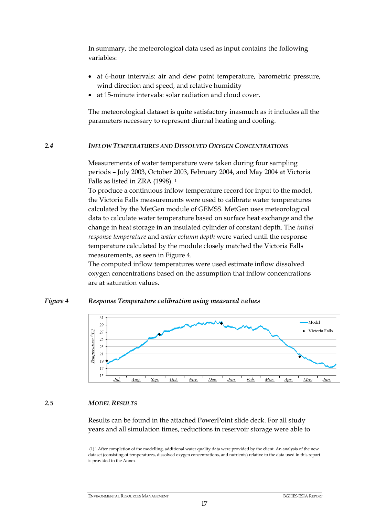In summary, the meteorological data used as input contains the following variables:

- at 6-hour intervals: air and dew point temperature, barometric pressure, wind direction and speed, and relative humidity
- at 15-minute intervals: solar radiation and cloud cover.

The meteorological dataset is quite satisfactory inasmuch as it includes all the parameters necessary to represent diurnal heating and cooling.

#### *2.4 INFLOW TEMPERATURES AND DISSOLVED OXYGEN CONCENTRATIONS*

Measurements of water temperature were taken during four sampling periods – July 2003, October 2003, February 2004, and May 2004 at Victoria Falls as listed in ZRA (1998). <sup>1</sup>

To produce a continuous inflow temperature record for input to the model, the Victoria Falls measurements were used to calibrate water temperatures calculated by the MetGen module of GEMSS. MetGen uses meteorological data to calculate water temperature based on surface heat exchange and the change in heat storage in an insulated cylinder of constant depth. The *initial response temperature* and *water column depth* were varied until the response temperature calculated by the module closely matched the Victoria Falls measurements, as seen in [Figure 4.](#page-7-0)

The computed inflow temperatures were used estimate inflow dissolved oxygen concentrations based on the assumption that inflow concentrations are at saturation values.

#### <span id="page-7-0"></span>*Figure 4 Response Temperature calibration using measured values*



#### *2.5 MODEL RESULTS*

<span id="page-7-1"></span>Results can be found in the attached PowerPoint slide deck. For all study years and all simulation times, reductions in reservoir storage were able to

<sup>&</sup>lt;u>.</u> (1) <sup>1</sup> After completion of the modelling, additional water quality data were provided by the client. An analysis of the new dataset (consisting of temperatures, dissolved oxygen concentrations, and nutrients) relative to the data used in this report is provided in the Annex.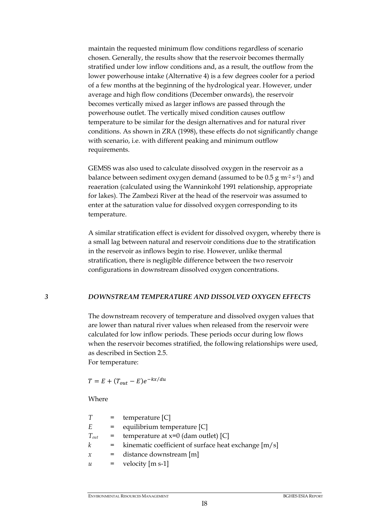maintain the requested minimum flow conditions regardless of scenario chosen. Generally, the results show that the reservoir becomes thermally stratified under low inflow conditions and, as a result, the outflow from the lower powerhouse intake (Alternative 4) is a few degrees cooler for a period of a few months at the beginning of the hydrological year. However, under average and high flow conditions (December onwards), the reservoir becomes vertically mixed as larger inflows are passed through the powerhouse outlet. The vertically mixed condition causes outflow temperature to be similar for the design alternatives and for natural river conditions. As shown in ZRA (1998), these effects do not significantly change with scenario, i.e. with different peaking and minimum outflow requirements.

GEMSS was also used to calculate dissolved oxygen in the reservoir as a balance between sediment oxygen demand (assumed to be  $0.5$  g m<sup>-2</sup> s<sup>-1</sup>) and reaeration (calculated using the Wanninkohf 1991 relationship, appropriate for lakes). The Zambezi River at the head of the reservoir was assumed to enter at the saturation value for dissolved oxygen corresponding to its temperature.

A similar stratification effect is evident for dissolved oxygen, whereby there is a small lag between natural and reservoir conditions due to the stratification in the reservoir as inflows begin to rise. However, unlike thermal stratification, there is negligible difference between the two reservoir configurations in downstream dissolved oxygen concentrations.

#### *3 DOWNSTREAM TEMPERATURE AND DISSOLVED OXYGEN EFFECTS*

The downstream recovery of temperature and dissolved oxygen values that are lower than natural river values when released from the reservoir were calculated for low inflow periods. These periods occur during low flows when the reservoir becomes stratified, the following relationships were used, as described in Section [2.5.](#page-7-1) For temperature:

$$
T = E + (T_{out} - E)e^{-kx/du}
$$

Where

| T         | $=$ | temperature $[C]$                                    |
|-----------|-----|------------------------------------------------------|
| E.        | $=$ | equilibrium temperature [C]                          |
| $T_{out}$ | $=$ | temperature at $x=0$ (dam outlet) [C]                |
| k         | $=$ | kinematic coefficient of surface heat exchange [m/s] |
| $\chi$    | $=$ | distance downstream [m]                              |
| и         | $=$ | velocity $[m s-1]$                                   |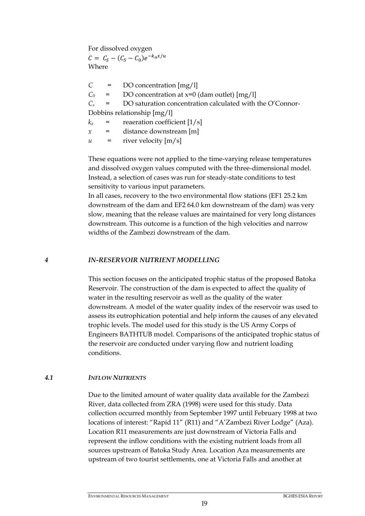For dissolved oxygen

 $C = C_S - (C_S - C_0)e^{-k_a x/u}$ Where

*C* = DO concentration [mg/l]  $C_0$  = DO concentration at  $x=0$  (dam outlet)  $\text{Im}(x/1)$  $C_s$  = DO saturation concentration calculated with the O'Connor-Dobbins relationship [mg/l]  $k_a$  = reaeration coefficient  $[1/s]$ *x* = distance downstream [m]  $u =$  river velocity  $[m/s]$ 

These equations were not applied to the time-varying release temperatures and dissolved oxygen values computed with the three-dimensional model. Instead, a selection of cases was run for steady-state conditions to test sensitivity to various input parameters.

In all cases, recovery to the two environmental flow stations (EF1 25.2 km downstream of the dam and EF2 64.0 km downstream of the dam) was very slow, meaning that the release values are maintained for very long distances downstream. This outcome is a function of the high velocities and narrow widths of the Zambezi downstream of the dam.

*4 IN-RESERVOIR NUTRIENT MODELLING*

This section focuses on the anticipated trophic status of the proposed Batoka Reservoir. The construction of the dam is expected to affect the quality of water in the resulting reservoir as well as the quality of the water downstream. A model of the water quality index of the reservoir was used to assess its eutrophication potential and help inform the causes of any elevated trophic levels. The model used for this study is the US Army Corps of Engineers BATHTUB model. Comparisons of the anticipated trophic status of the reservoir are conducted under varying flow and nutrient loading conditions.

#### *4.1 INFLOW NUTRIENTS*

Due to the limited amount of water quality data available for the Zambezi River, data collected from ZRA (1998) were used for this study. Data collection occurred monthly from September 1997 until February 1998 at two locations of interest: "Rapid 11" (R11) and "A'Zambezi River Lodge" (Aza). Location R11 measurements are just downstream of Victoria Falls and represent the inflow conditions with the existing nutrient loads from all sources upstream of Batoka Study Area. Location Aza measurements are upstream of two tourist settlements, one at Victoria Falls and another at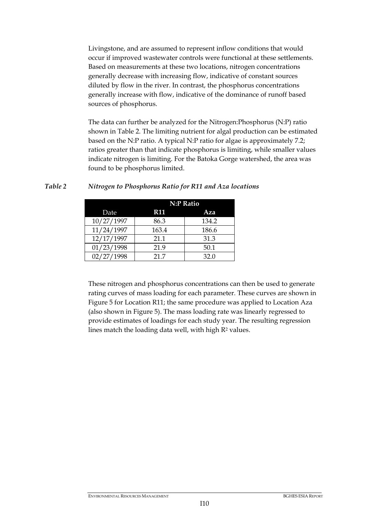Livingstone, and are assumed to represent inflow conditions that would occur if improved wastewater controls were functional at these settlements. Based on measurements at these two locations, nitrogen concentrations generally decrease with increasing flow, indicative of constant sources diluted by flow in the river. In contrast, the phosphorus concentrations generally increase with flow, indicative of the dominance of runoff based sources of phosphorus.

The data can further be analyzed for the Nitrogen:Phosphorus (N:P) ratio shown in [Table 2.](#page-10-0) The limiting nutrient for algal production can be estimated based on the N:P ratio. A typical N:P ratio for algae is approximately 7.2; ratios greater than that indicate phosphorus is limiting, while smaller values indicate nitrogen is limiting. For the Batoka Gorge watershed, the area was found to be phosphorus limited.

|            | <b>N:P Ratio</b> |       |  |
|------------|------------------|-------|--|
| Date       | <b>R11</b>       | Aza   |  |
| 10/27/1997 | 86.3             | 134.2 |  |
| 11/24/1997 | 163.4            | 186.6 |  |
| 12/17/1997 | 21.1             | 31.3  |  |
| 01/23/1998 | 21.9             | 50.1  |  |
| 02/27/1998 | 21.7             | 32.0  |  |

<span id="page-10-0"></span>*Table 2 Nitrogen to Phosphorus Ratio for R11 and Aza locations*

These nitrogen and phosphorus concentrations can then be used to generate rating curves of mass loading for each parameter. These curves are shown in [Figure 5](#page-11-0) for Location R11; the same procedure was applied to Location Aza (also shown in [Figure 5\)](#page-11-0). The mass loading rate was linearly regressed to provide estimates of loadings for each study year. The resulting regression lines match the loading data well, with high  $R<sup>2</sup>$  values.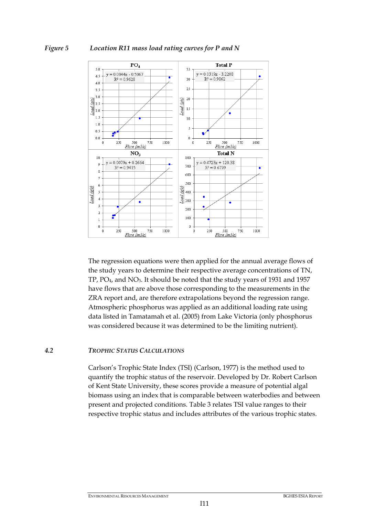#### <span id="page-11-0"></span>*Figure 5 Location R11 mass load rating curves for P and N*



The regression equations were then applied for the annual average flows of the study years to determine their respective average concentrations of TN, TP, PO4, and NO3. It should be noted that the study years of 1931 and 1957 have flows that are above those corresponding to the measurements in the ZRA report and, are therefore extrapolations beyond the regression range. Atmospheric phosphorus was applied as an additional loading rate using data listed in Tamatamah et al. (2005) from Lake Victoria (only phosphorus was considered because it was determined to be the limiting nutrient).

#### *4.2 TROPHIC STATUS CALCULATIONS*

Carlson's Trophic State Index (TSI) (Carlson, 1977) is the method used to quantify the trophic status of the reservoir. Developed by Dr. Robert Carlson of Kent State University, these scores provide a measure of potential algal biomass using an index that is comparable between waterbodies and between present and projected conditions. [Table](#page-12-0) 3 relates TSI value ranges to their respective trophic status and includes attributes of the various trophic states.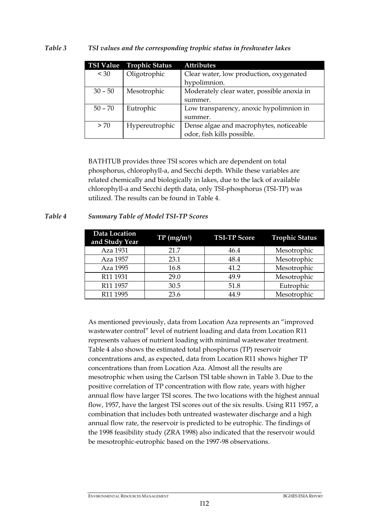<span id="page-12-0"></span>

|           | TSI Value Trophic Status | <b>Attributes</b>                          |
|-----------|--------------------------|--------------------------------------------|
| < 30      | Oligotrophic             | Clear water, low production, oxygenated    |
|           |                          | hypolimnion.                               |
| $30 - 50$ | Mesotrophic              | Moderately clear water, possible anoxia in |
|           |                          | summer.                                    |
| $50 - 70$ | Eutrophic                | Low transparency, anoxic hypolimnion in    |
|           |                          | summer.                                    |
| > 70      | Hypereutrophic           | Dense algae and macrophytes, noticeable    |
|           |                          | odor, fish kills possible.                 |

BATHTUB provides three TSI scores which are dependent on total phosphorus, chlorophyll-a, and Secchi depth. While these variables are related chemically and biologically in lakes, due to the lack of available chlorophyll-a and Secchi depth data, only TSI-phosphorus (TSI-TP) was utilized. The results can be found in [Table 4.](#page-12-1)

# <span id="page-12-1"></span>*Table 4 Summary Table of Model TSI-TP Scores*

| Data Location<br>and Study Year | $TP(mg/m^3)$ | <b>TSI-TP Score</b> | <b>Trophic Status</b> |
|---------------------------------|--------------|---------------------|-----------------------|
| Aza 1931                        | 21.7         | 46.4                | Mesotrophic           |
| Aza 1957                        | 23.1         | 48.4                | Mesotrophic           |
| Aza 1995                        | 16.8         | 41.2                | Mesotrophic           |
| R11 1931                        | 29.0         | 49.9                | Mesotrophic           |
| R11 1957                        | 30.5         | 51.8                | Eutrophic             |
| R11 1995                        | 23.6         | 44.9                | Mesotrophic           |

As mentioned previously, data from Location Aza represents an "improved wastewater control" level of nutrient loading and data from Location R11 represents values of nutrient loading with minimal wastewater treatment. [Table 4](#page-12-1) also shows the estimated total phosphorus (TP) reservoir concentrations and, as expected, data from Location R11 shows higher TP concentrations than from Location Aza. Almost all the results are mesotrophic when using the Carlson TSI table shown in [Table](#page-12-0) 3. Due to the positive correlation of TP concentration with flow rate, years with higher annual flow have larger TSI scores. The two locations with the highest annual flow, 1957, have the largest TSI scores out of the six results. Using R11 1957, a combination that includes both untreated wastewater discharge and a high annual flow rate, the reservoir is predicted to be eutrophic. The findings of the 1998 feasibility study (ZRA 1998) also indicated that the reservoir would be mesotrophic-eutrophic based on the 1997-98 observations.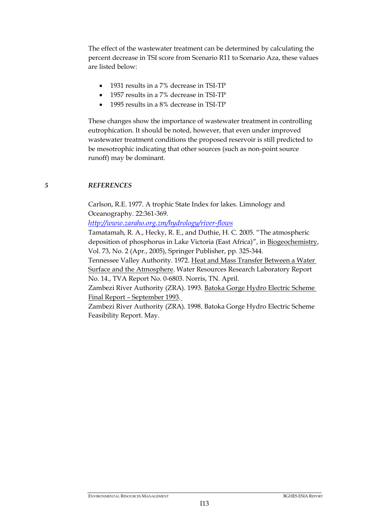The effect of the wastewater treatment can be determined by calculating the percent decrease in TSI score from Scenario R11 to Scenario Aza, these values are listed below:

- 1931 results in a 7% decrease in TSI-TP
- 1957 results in a 7% decrease in TSI-TP
- 1995 results in a 8% decrease in TSI-TP

These changes show the importance of wastewater treatment in controlling eutrophication. It should be noted, however, that even under improved wastewater treatment conditions the proposed reservoir is still predicted to be mesotrophic indicating that other sources (such as non-point source runoff) may be dominant.

#### *5 REFERENCES*

Carlson, R.E. 1977. A trophic State Index for lakes. Limnology and Oceanography. 22:361-369.

*<http://www.zaraho.org.zm/hydrology/river-flows>*

Tamatamah, R. A., Hecky, R. E., and Duthie, H. C. 2005. "The atmospheric deposition of phosphorus in Lake Victoria (East Africa)", in Biogeochemistry, Vol. 73, No. 2 (Apr., 2005), Springer Publisher, pp. 325-344.

Tennessee Valley Authority. 1972. Heat and Mass Transfer Between a Water Surface and the Atmosphere. Water Resources Research Laboratory Report No. 14., TVA Report No. 0-6803. Norris, TN. April.

Zambezi River Authority (ZRA). 1993. Batoka Gorge Hydro Electric Scheme Final Report – September 1993.

Zambezi River Authority (ZRA). 1998. Batoka Gorge Hydro Electric Scheme Feasibility Report. May.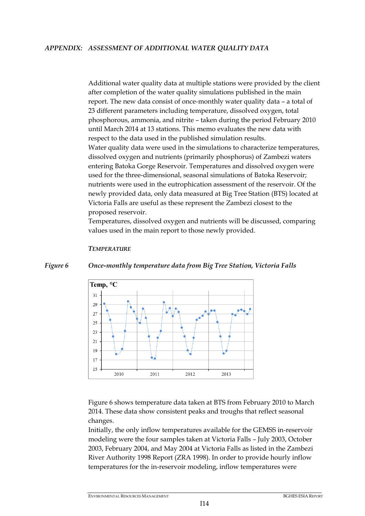Additional water quality data at multiple stations were provided by the client after completion of the water quality simulations published in the main report. The new data consist of once-monthly water quality data – a total of 23 different parameters including temperature, dissolved oxygen, total phosphorous, ammonia, and nitrite – taken during the period February 2010 until March 2014 at 13 stations. This memo evaluates the new data with respect to the data used in the published simulation results. Water quality data were used in the simulations to characterize temperatures, dissolved oxygen and nutrients (primarily phosphorus) of Zambezi waters entering Batoka Gorge Reservoir. Temperatures and dissolved oxygen were used for the three-dimensional, seasonal simulations of Batoka Reservoir; nutrients were used in the eutrophication assessment of the reservoir. Of the newly provided data, only data measured at Big Tree Station (BTS) located at Victoria Falls are useful as these represent the Zambezi closest to the proposed reservoir.

Temperatures, dissolved oxygen and nutrients will be discussed, comparing values used in the main report to those newly provided.

# Temp, °C  $31$ 29  $\overline{2}$ 25 23  $21$ 19  $17$

2011

#### *TEMPERATURE*

15

2010

<span id="page-14-0"></span>*Figure 6 Once-monthly temperature data from Big Tree Station, Victoria Falls*

[Figure 6](#page-14-0) shows temperature data taken at BTS from February 2010 to March 2014. These data show consistent peaks and troughs that reflect seasonal changes.

2013

2012

Initially, the only inflow temperatures available for the GEMSS in-reservoir modeling were the four samples taken at Victoria Falls – July 2003, October 2003, February 2004, and May 2004 at Victoria Falls as listed in the Zambezi River Authority 1998 Report (ZRA 1998). In order to provide hourly inflow temperatures for the in-reservoir modeling, inflow temperatures were

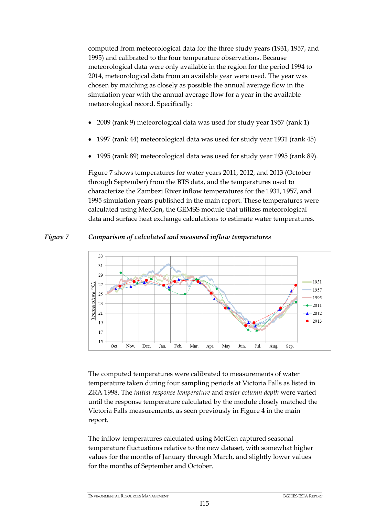computed from meteorological data for the three study years (1931, 1957, and 1995) and calibrated to the four temperature observations. Because meteorological data were only available in the region for the period 1994 to 2014, meteorological data from an available year were used. The year was chosen by matching as closely as possible the annual average flow in the simulation year with the annual average flow for a year in the available meteorological record. Specifically:

- 2009 (rank 9) meteorological data was used for study year 1957 (rank 1)
- 1997 (rank 44) meteorological data was used for study year 1931 (rank 45)
- 1995 (rank 89) meteorological data was used for study year 1995 (rank 89).

[Figure 7](#page-15-0) shows temperatures for water years 2011, 2012, and 2013 (October through September) from the BTS data, and the temperatures used to characterize the Zambezi River inflow temperatures for the 1931, 1957, and 1995 simulation years published in the main report. These temperatures were calculated using MetGen, the GEMSS module that utilizes meteorological data and surface heat exchange calculations to estimate water temperatures.

<span id="page-15-0"></span>



The computed temperatures were calibrated to measurements of water temperature taken during four sampling periods at Victoria Falls as listed in ZRA 1998. The *initial response temperature* and *water column depth* were varied until the response temperature calculated by the module closely matched the Victoria Falls measurements, as seen previously in [Figure 4](#page-7-0) in the main report.

The inflow temperatures calculated using MetGen captured seasonal temperature fluctuations relative to the new dataset, with somewhat higher values for the months of January through March, and slightly lower values for the months of September and October.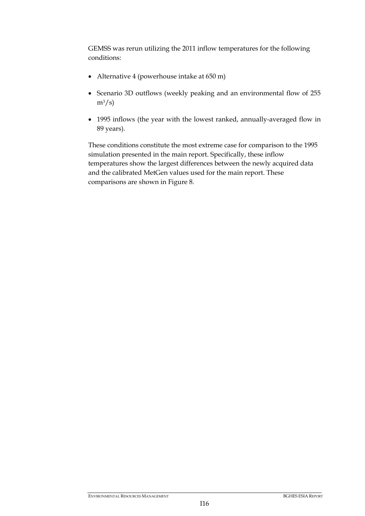GEMSS was rerun utilizing the 2011 inflow temperatures for the following conditions:

- Alternative 4 (powerhouse intake at 650 m)
- Scenario 3D outflows (weekly peaking and an environmental flow of 255  $m^3/s$
- 1995 inflows (the year with the lowest ranked, annually-averaged flow in 89 years).

These conditions constitute the most extreme case for comparison to the 1995 simulation presented in the main report. Specifically, these inflow temperatures show the largest differences between the newly acquired data and the calibrated MetGen values used for the main report. These comparisons are shown in [Figure 8.](#page-17-0)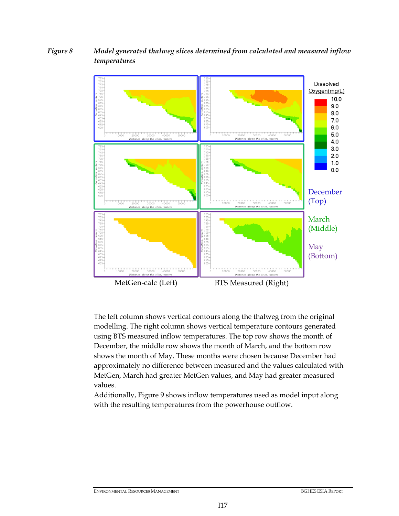# <span id="page-17-1"></span><span id="page-17-0"></span>*Figure 8 Model generated thalweg slices determined from calculated and measured inflow temperatures*



The left column shows vertical contours along the thalweg from the original modelling. The right column shows vertical temperature contours generated using BTS measured inflow temperatures. The top row shows the month of December, the middle row shows the month of March, and the bottom row shows the month of May. These months were chosen because December had approximately no difference between measured and the values calculated with MetGen, March had greater MetGen values, and May had greater measured values.

Additionally, [Figure 9](#page-18-0) shows inflow temperatures used as model input along with the resulting temperatures from the powerhouse outflow.

ENVIRONMENTAL RESOURCES MANAGEMENT **BGHES ESIA REPORT** BGHES ESIA REPORT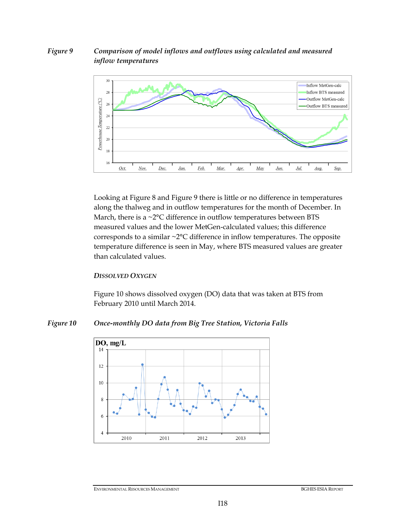# <span id="page-18-0"></span>*Figure 9 Comparison of model inflows and outflows using calculated and measured inflow temperatures*



Looking at [Figure 8](#page-17-1) and [Figure 9](#page-18-0) there is little or no difference in temperatures along the thalweg and in outflow temperatures for the month of December. In March, there is a  $\sim$ 2°C difference in outflow temperatures between BTS measured values and the lower MetGen-calculated values; this difference corresponds to a similar ~2°C difference in inflow temperatures. The opposite temperature difference is seen in May, where BTS measured values are greater than calculated values.

#### *DISSOLVED OXYGEN*

[Figure 10](#page-18-1) shows dissolved oxygen (DO) data that was taken at BTS from February 2010 until March 2014.

# <span id="page-18-1"></span>*Figure 10 Once-monthly DO data from Big Tree Station, Victoria Falls*

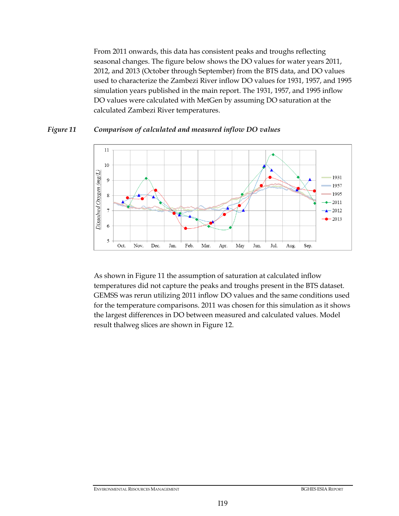From 2011 onwards, this data has consistent peaks and troughs reflecting seasonal changes. The figure below shows the DO values for water years 2011, 2012, and 2013 (October through September) from the BTS data, and DO values used to characterize the Zambezi River inflow DO values for 1931, 1957, and 1995 simulation years published in the main report. The 1931, 1957, and 1995 inflow DO values were calculated with MetGen by assuming DO saturation at the calculated Zambezi River temperatures.

### <span id="page-19-0"></span>*Figure 11 Comparison of calculated and measured inflow DO values*



As shown in [Figure 11](#page-19-0) the assumption of saturation at calculated inflow temperatures did not capture the peaks and troughs present in the BTS dataset. GEMSS was rerun utilizing 2011 inflow DO values and the same conditions used for the temperature comparisons. 2011 was chosen for this simulation as it shows the largest differences in DO between measured and calculated values. Model result thalweg slices are shown in [Figure 12.](#page-20-0)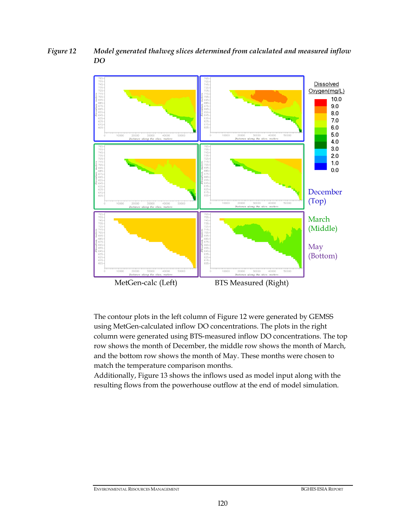<span id="page-20-0"></span>*Figure 12 Model generated thalweg slices determined from calculated and measured inflow DO*



The contour plots in the left column of [Figure 12](#page-20-0) were generated by GEMSS using MetGen-calculated inflow DO concentrations. The plots in the right column were generated using BTS-measured inflow DO concentrations. The top row shows the month of December, the middle row shows the month of March, and the bottom row shows the month of May. These months were chosen to match the temperature comparison months.

Additionally, [Figure 13](#page-21-0) shows the inflows used as model input along with the resulting flows from the powerhouse outflow at the end of model simulation.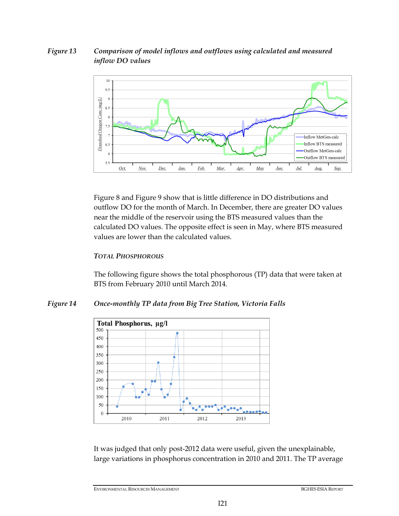# <span id="page-21-0"></span>*Figure 13 Comparison of model inflows and outflows using calculated and measured inflow DO values*



[Figure 8](#page-17-1) and [Figure 9](#page-18-0) show that is little difference in DO distributions and outflow DO for the month of March. In December, there are greater DO values near the middle of the reservoir using the BTS measured values than the calculated DO values. The opposite effect is seen in May, where BTS measured values are lower than the calculated values.

# *TOTAL PHOSPHOROUS*

The following figure shows the total phosphorous (TP) data that were taken at BTS from February 2010 until March 2014.

# *Figure 14 Once-monthly TP data from Big Tree Station, Victoria Falls*



It was judged that only post-2012 data were useful, given the unexplainable, large variations in phosphorus concentration in 2010 and 2011. The TP average

ENVIRONMENTAL RESOURCES MANAGEMENT BGHES ESIA REPORT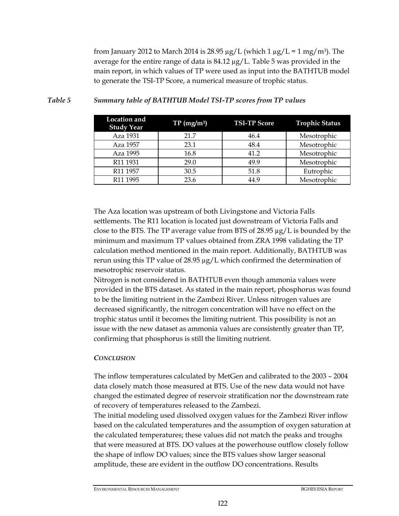from January 2012 to March 2014 is 28.95  $\mu$ g/L (which 1  $\mu$ g/L = 1 mg/m<sup>3</sup>). The average for the entire range of data is  $84.12 \mu g/L$ . [Table 5](#page-22-0) was provided in the main report, in which values of TP were used as input into the BATHTUB model to generate the TSI-TP Score, a numerical measure of trophic status.

| <b>Location</b> and<br><b>Study Year</b> | TP(mg/m <sup>3</sup> ) | <b>TSI-TP Score</b> | <b>Trophic Status</b> |
|------------------------------------------|------------------------|---------------------|-----------------------|
| Aza 1931                                 | 21.7                   | 46.4                | Mesotrophic           |
| Aza 1957                                 | 23.1                   | 48.4                | Mesotrophic           |
| Aza 1995                                 | 16.8                   | 41.2                | Mesotrophic           |
| R <sub>11</sub> 1931                     | 29.0                   | 49.9                | Mesotrophic           |
| R <sub>11</sub> 1957                     | 30.5                   | 51.8                | Eutrophic             |
| R <sub>11</sub> 1995                     | 23.6                   | 44.9                | Mesotrophic           |

#### <span id="page-22-0"></span>*Table 5 Summary table of BATHTUB Model TSI-TP scores from TP values*

The Aza location was upstream of both Livingstone and Victoria Falls settlements. The R11 location is located just downstream of Victoria Falls and close to the BTS. The TP average value from BTS of  $28.95 \mu g/L$  is bounded by the minimum and maximum TP values obtained from ZRA 1998 validating the TP calculation method mentioned in the main report. Additionally, BATHTUB was rerun using this TP value of 28.95 µg/L which confirmed the determination of mesotrophic reservoir status.

Nitrogen is not considered in BATHTUB even though ammonia values were provided in the BTS dataset. As stated in the main report, phosphorus was found to be the limiting nutrient in the Zambezi River. Unless nitrogen values are decreased significantly, the nitrogen concentration will have no effect on the trophic status until it becomes the limiting nutrient. This possibility is not an issue with the new dataset as ammonia values are consistently greater than TP, confirming that phosphorus is still the limiting nutrient.

#### *CONCLUSION*

The inflow temperatures calculated by MetGen and calibrated to the 2003 – 2004 data closely match those measured at BTS. Use of the new data would not have changed the estimated degree of reservoir stratification nor the downstream rate of recovery of temperatures released to the Zambezi.

The initial modeling used dissolved oxygen values for the Zambezi River inflow based on the calculated temperatures and the assumption of oxygen saturation at the calculated temperatures; these values did not match the peaks and troughs that were measured at BTS. DO values at the powerhouse outflow closely follow the shape of inflow DO values; since the BTS values show larger seasonal amplitude, these are evident in the outflow DO concentrations. Results